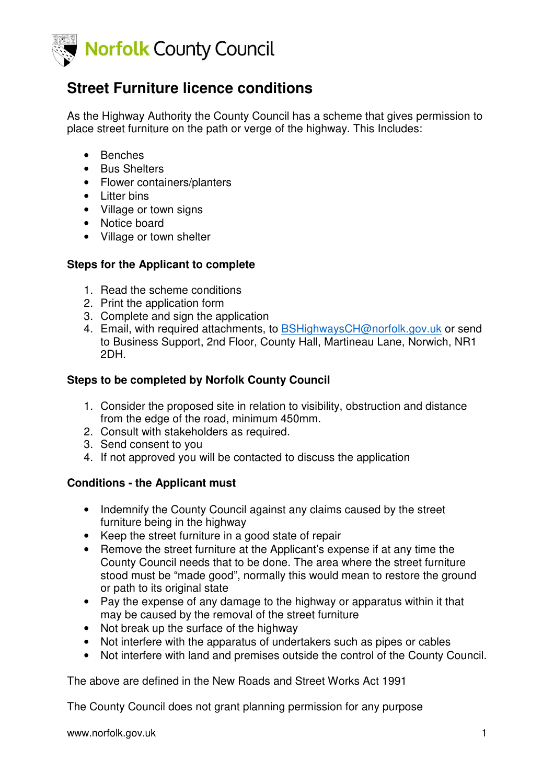

# **Street Furniture licence conditions**

As the Highway Authority the County Council has a scheme that gives permission to place street furniture on the path or verge of the highway. This Includes:

- Benches
- Bus Shelters
- Flower containers/planters
- Litter bins
- Village or town signs
- Notice board
- Village or town shelter

#### **Steps for the Applicant to complete**

- 1. Read the scheme conditions
- 2. Print the application form
- 3. Complete and sign the application
- 4. Email, with required attachments, to BSHighwaysCH@norfolk.gov.uk or send to Business Support, 2nd Floor, County Hall, Martineau Lane, Norwich, NR1 2DH.

#### **Steps to be completed by Norfolk County Council**

- 1. Consider the proposed site in relation to visibility, obstruction and distance from the edge of the road, minimum 450mm.
- 2. Consult with stakeholders as required.
- 3. Send consent to you
- 4. If not approved you will be contacted to discuss the application

#### **Conditions - the Applicant must**

- Indemnify the County Council against any claims caused by the street furniture being in the highway
- Keep the street furniture in a good state of repair
- Remove the street furniture at the Applicant's expense if at any time the County Council needs that to be done. The area where the street furniture stood must be "made good", normally this would mean to restore the ground or path to its original state
- Pay the expense of any damage to the highway or apparatus within it that may be caused by the removal of the street furniture
- Not break up the surface of the highway
- Not interfere with the apparatus of undertakers such as pipes or cables
- Not interfere with land and premises outside the control of the County Council.

The above are defined in the New Roads and Street Works Act 1991

The County Council does not grant planning permission for any purpose

www.norfolk.gov.uk 1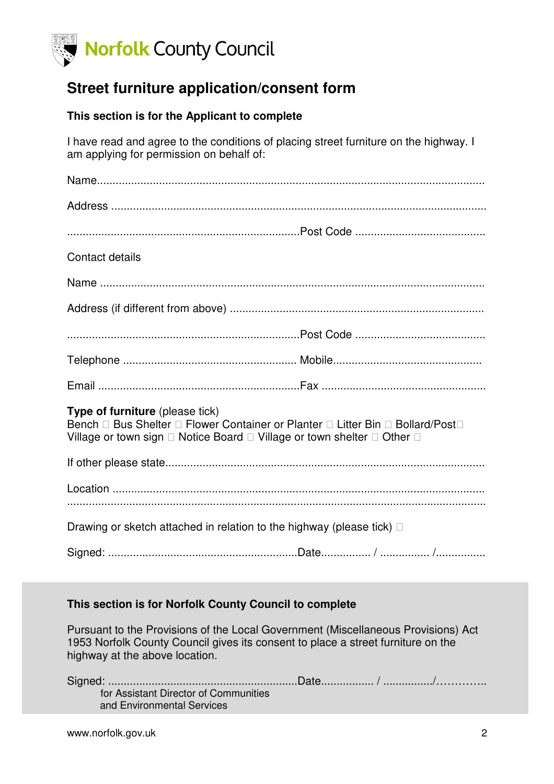

## **Street furniture application/consent form**

### **This section is for the Applicant to complete**

I have read and agree to the conditions of placing street furniture on the highway. I am applying for permission on behalf of:

| Contact details                                                                                                                                                                       |  |  |  |
|---------------------------------------------------------------------------------------------------------------------------------------------------------------------------------------|--|--|--|
|                                                                                                                                                                                       |  |  |  |
|                                                                                                                                                                                       |  |  |  |
|                                                                                                                                                                                       |  |  |  |
|                                                                                                                                                                                       |  |  |  |
|                                                                                                                                                                                       |  |  |  |
| <b>Type of furniture</b> (please tick)<br>Bench Bus Shelter Flower Container or Planter Litter Bin Bollard/Post<br>Village or town sign  Notice Board  Village or town shelter  Other |  |  |  |
|                                                                                                                                                                                       |  |  |  |
|                                                                                                                                                                                       |  |  |  |
| Drawing or sketch attached in relation to the highway (please tick)                                                                                                                   |  |  |  |
|                                                                                                                                                                                       |  |  |  |

### **This section is for Norfolk County Council to complete**

Pursuant to the Provisions of the Local Government (Miscellaneous Provisions) Act 1953 Norfolk County Council gives its consent to place a street furniture on the highway at the above location.

| for Assistant Director of Communities |  |
|---------------------------------------|--|
| and Environmental Services            |  |